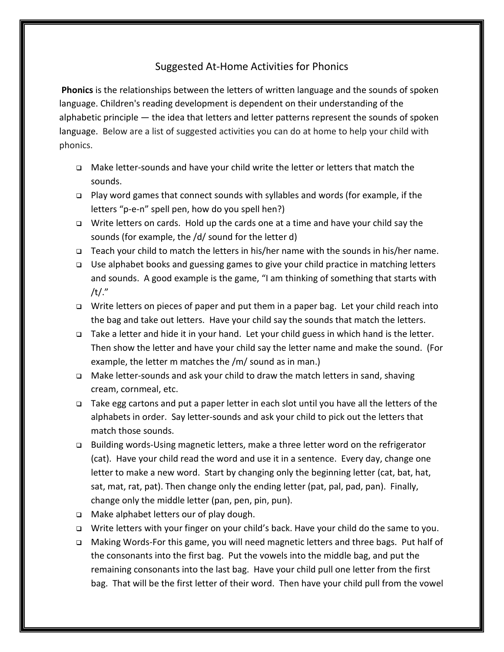## Suggested At-Home Activities for Phonics

**Phonics** is the relationships between the letters of written language and the sounds of spoken language. Children's reading development is dependent on their understanding of the alphabetic principle — the idea that letters and letter patterns represent the sounds of spoken language. Below are a list of suggested activities you can do at home to help your child with phonics.

- Make letter-sounds and have your child write the letter or letters that match the sounds.
- Play word games that connect sounds with syllables and words (for example, if the letters "p-e-n" spell pen, how do you spell hen?)
- $\Box$  Write letters on cards. Hold up the cards one at a time and have your child say the sounds (for example, the /d/ sound for the letter d)
- $\Box$  Teach your child to match the letters in his/her name with the sounds in his/her name.
- Use alphabet books and guessing games to give your child practice in matching letters and sounds. A good example is the game, "I am thinking of something that starts with /t/."
- Write letters on pieces of paper and put them in a paper bag. Let your child reach into the bag and take out letters. Have your child say the sounds that match the letters.
- Take a letter and hide it in your hand. Let your child guess in which hand is the letter. Then show the letter and have your child say the letter name and make the sound. (For example, the letter m matches the /m/ sound as in man.)
- □ Make letter-sounds and ask your child to draw the match letters in sand, shaving cream, cornmeal, etc.
- □ Take egg cartons and put a paper letter in each slot until you have all the letters of the alphabets in order. Say letter-sounds and ask your child to pick out the letters that match those sounds.
- Building words-Using magnetic letters, make a three letter word on the refrigerator (cat). Have your child read the word and use it in a sentence. Every day, change one letter to make a new word. Start by changing only the beginning letter (cat, bat, hat, sat, mat, rat, pat). Then change only the ending letter (pat, pal, pad, pan). Finally, change only the middle letter (pan, pen, pin, pun).
- $\Box$  Make alphabet letters our of play dough.
- Write letters with your finger on your child's back. Have your child do the same to you.
- Making Words-For this game, you will need magnetic letters and three bags. Put half of the consonants into the first bag. Put the vowels into the middle bag, and put the remaining consonants into the last bag. Have your child pull one letter from the first bag. That will be the first letter of their word. Then have your child pull from the vowel